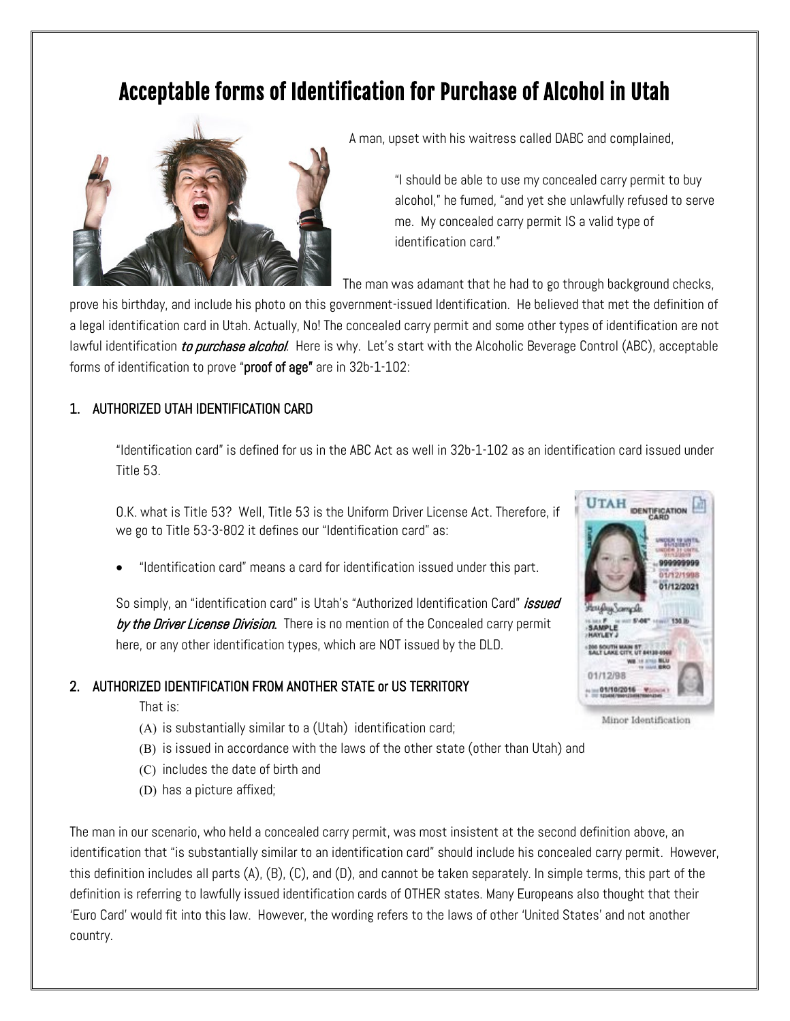# Acceptable forms of Identification for Purchase of Alcohol in Utah



A man, upset with his waitress called DABC and complained,

"I should be able to use my concealed carry permit to buy alcohol," he fumed, "and yet she unlawfully refused to serve me. My concealed carry permit IS a valid type of identification card."

The man was adamant that he had to go through background checks,

prove his birthday, and include his photo on this government-issued Identification. He believed that met the definition of a legal identification card in Utah. Actually, No! The concealed carry permit and some other types of identification are not lawful identification *to purchase alcohol*. Here is why. Let's start with the Alcoholic Beverage Control (ABC), acceptable forms of identification to prove "proof of age" are in 32b-1-102:

# 1. AUTHORIZED UTAH IDENTIFICATION CARD

"Identification card" is defined for us in the ABC Act as well in 32b-1-102 as an identification card issued under Title 53.

O.K. what is Title 53? Well, Title 53 is the Uniform Driver License Act. Therefore, if we go to Title 53-3-802 it defines our "Identification card" as:

• "Identification card" means a card for identification issued under this part.

So simply, an "identification card" is Utah's "Authorized Identification Card" *issued* by the Driver License Division. There is no mention of the Concealed carry permit here, or any other identification types, which are NOT issued by the DLD.

## 2. AUTHORIZED IDENTIFICATION FROM ANOTHER STATE or US TERRITORY

That is:

- (A) is substantially similar to a (Utah) identification card;
- (B) is issued in accordance with the laws of the other state (other than Utah) and
- (C) includes the date of birth and
- (D) has a picture affixed;

The man in our scenario, who held a concealed carry permit, was most insistent at the second definition above, an identification that "is substantially similar to an identification card" should include his concealed carry permit. However, this definition includes all parts (A), (B), (C), and (D), and cannot be taken separately. In simple terms, this part of the definition is referring to lawfully issued identification cards of OTHER states. Many Europeans also thought that their 'Euro Card' would fit into this law. However, the wording refers to the laws of other 'United States' and not another country.



Minor Identification